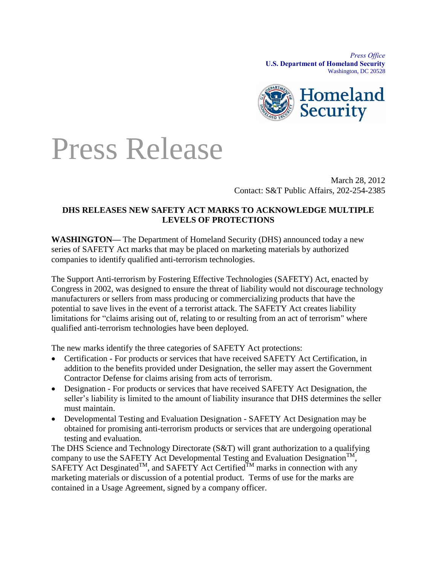*Press Office* **U.S. Department of Homeland Security** Washington, DC 20528



## Press Release

March 28, 2012 Contact: S&T Public Affairs, 202-254-2385

## **DHS RELEASES NEW SAFETY ACT MARKS TO ACKNOWLEDGE MULTIPLE LEVELS OF PROTECTIONS**

**WASHINGTON—** The Department of Homeland Security (DHS) announced today a new series of SAFETY Act marks that may be placed on marketing materials by authorized companies to identify qualified anti-terrorism technologies.

The Support Anti-terrorism by Fostering Effective Technologies (SAFETY) Act, enacted by Congress in 2002, was designed to ensure the threat of liability would not discourage technology manufacturers or sellers from mass producing or commercializing products that have the potential to save lives in the event of a terrorist attack. The SAFETY Act creates liability limitations for "claims arising out of, relating to or resulting from an act of terrorism" where qualified anti-terrorism technologies have been deployed.

The new marks identify the three categories of SAFETY Act protections:

- Certification For products or services that have received SAFETY Act Certification, in addition to the benefits provided under Designation, the seller may assert the Government Contractor Defense for claims arising from acts of terrorism.
- Designation For products or services that have received SAFETY Act Designation, the seller's liability is limited to the amount of liability insurance that DHS determines the seller must maintain.
- Developmental Testing and Evaluation Designation SAFETY Act Designation may be obtained for promising anti-terrorism products or services that are undergoing operational testing and evaluation.

The DHS Science and Technology Directorate (S&T) will grant authorization to a qualifying company to use the SAFETY Act Developmental Testing and Evaluation Designation<sup>TM</sup>, SAFETY Act Desginated<sup>TM</sup>, and SAFETY Act Certified<sup>TM</sup> marks in connection with any marketing materials or discussion of a potential product. Terms of use for the marks are contained in a Usage Agreement, signed by a company officer.